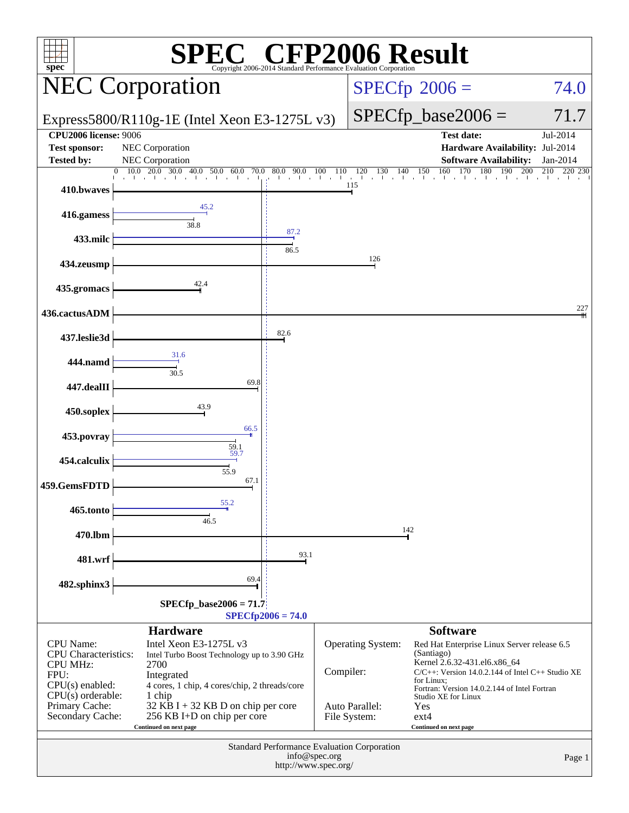| $spec^*$                                                                                                                                                     |                                                                                                                                                                                                                                                                            |                                         |                           | Copyright 2006-2014 Standard Performance Evaluation Corporation | <b>Example 2006 Result</b>                                                                                                                                                                                                                                                                              |                       |
|--------------------------------------------------------------------------------------------------------------------------------------------------------------|----------------------------------------------------------------------------------------------------------------------------------------------------------------------------------------------------------------------------------------------------------------------------|-----------------------------------------|---------------------------|-----------------------------------------------------------------|---------------------------------------------------------------------------------------------------------------------------------------------------------------------------------------------------------------------------------------------------------------------------------------------------------|-----------------------|
|                                                                                                                                                              | <b>NEC Corporation</b>                                                                                                                                                                                                                                                     |                                         |                           |                                                                 | $SPECfp^{\circ}2006 =$                                                                                                                                                                                                                                                                                  | 74.0                  |
|                                                                                                                                                              | Express5800/R110g-1E (Intel Xeon E3-1275L v3)                                                                                                                                                                                                                              |                                         |                           |                                                                 | $SPECfp\_base2006 =$                                                                                                                                                                                                                                                                                    | 71.7                  |
| <b>CPU2006 license: 9006</b><br><b>Test sponsor:</b><br><b>Tested by:</b>                                                                                    | NEC Corporation<br>NEC Corporation                                                                                                                                                                                                                                         |                                         |                           |                                                                 | <b>Test date:</b><br>Hardware Availability: Jul-2014<br><b>Software Availability:</b>                                                                                                                                                                                                                   | Jul-2014<br>Jan-2014  |
| 410.bwaves                                                                                                                                                   | 20.0<br>30.0<br>10.0<br>40.0 50.0<br>60.0                                                                                                                                                                                                                                  | 70.0 80.0 90.0 100<br>The Controller of | 110                       | 130<br>120<br>140<br>115                                        | 160<br>180<br>170<br>190<br>150<br>the district of the contract their<br>and the con-                                                                                                                                                                                                                   | 200<br>210<br>220 230 |
| 416.gamess                                                                                                                                                   | 45.2<br>38.8                                                                                                                                                                                                                                                               | 87.2                                    |                           |                                                                 |                                                                                                                                                                                                                                                                                                         |                       |
| 433.milc                                                                                                                                                     |                                                                                                                                                                                                                                                                            | 86.5                                    |                           | 126                                                             |                                                                                                                                                                                                                                                                                                         |                       |
| 434.zeusmp<br>435.gromacs                                                                                                                                    | 42.4                                                                                                                                                                                                                                                                       |                                         |                           |                                                                 |                                                                                                                                                                                                                                                                                                         |                       |
| 436.cactusADM                                                                                                                                                |                                                                                                                                                                                                                                                                            |                                         |                           |                                                                 |                                                                                                                                                                                                                                                                                                         | 227                   |
| 437.leslie3d                                                                                                                                                 |                                                                                                                                                                                                                                                                            | 82.6                                    |                           |                                                                 |                                                                                                                                                                                                                                                                                                         |                       |
| 444.namd                                                                                                                                                     | 31.6<br>30.5                                                                                                                                                                                                                                                               |                                         |                           |                                                                 |                                                                                                                                                                                                                                                                                                         |                       |
| 447.dealII                                                                                                                                                   | 69.8                                                                                                                                                                                                                                                                       |                                         |                           |                                                                 |                                                                                                                                                                                                                                                                                                         |                       |
| 450.soplex                                                                                                                                                   | 43.9<br>66.5                                                                                                                                                                                                                                                               |                                         |                           |                                                                 |                                                                                                                                                                                                                                                                                                         |                       |
| 453.povray<br>454.calculix                                                                                                                                   | $\frac{59.1}{59.7}$                                                                                                                                                                                                                                                        |                                         |                           |                                                                 |                                                                                                                                                                                                                                                                                                         |                       |
| 459.GemsFDTD                                                                                                                                                 | 55.9<br>67.1                                                                                                                                                                                                                                                               |                                         |                           |                                                                 |                                                                                                                                                                                                                                                                                                         |                       |
| 465.tonto                                                                                                                                                    | 55.2<br>46.5                                                                                                                                                                                                                                                               |                                         |                           |                                                                 |                                                                                                                                                                                                                                                                                                         |                       |
| 470.lbm                                                                                                                                                      |                                                                                                                                                                                                                                                                            |                                         |                           |                                                                 | 142                                                                                                                                                                                                                                                                                                     |                       |
| 481.wrf                                                                                                                                                      | 69.4                                                                                                                                                                                                                                                                       | 93.1                                    |                           |                                                                 |                                                                                                                                                                                                                                                                                                         |                       |
| 482.sphinx3                                                                                                                                                  | $SPECfp\_base2006 = 71.7$                                                                                                                                                                                                                                                  | $SPECfp2006 = 74.0$                     |                           |                                                                 |                                                                                                                                                                                                                                                                                                         |                       |
| <b>CPU</b> Name:<br><b>CPU</b> Characteristics:<br><b>CPU MHz:</b><br>FPU:<br>$CPU(s)$ enabled:<br>$CPU(s)$ orderable:<br>Primary Cache:<br>Secondary Cache: | <b>Hardware</b><br>Intel Xeon E3-1275L v3<br>Intel Turbo Boost Technology up to 3.90 GHz<br>2700<br>Integrated<br>4 cores, 1 chip, 4 cores/chip, 2 threads/core<br>1 chip<br>$32$ KB I + 32 KB D on chip per core<br>256 KB I+D on chip per core<br>Continued on next page |                                         | Compiler:<br>File System: | <b>Operating System:</b><br>Auto Parallel:                      | <b>Software</b><br>Red Hat Enterprise Linux Server release 6.5<br>(Santiago)<br>Kernel 2.6.32-431.el6.x86_64<br>$C/C++$ : Version 14.0.2.144 of Intel $C++$ Studio XE<br>for Linux;<br>Fortran: Version 14.0.2.144 of Intel Fortran<br>Studio XE for Linux<br>Yes<br>$ext{4}$<br>Continued on next page |                       |
| <b>Standard Performance Evaluation Corporation</b><br>info@spec.org<br>http://www.spec.org/                                                                  |                                                                                                                                                                                                                                                                            |                                         |                           |                                                                 | Page 1                                                                                                                                                                                                                                                                                                  |                       |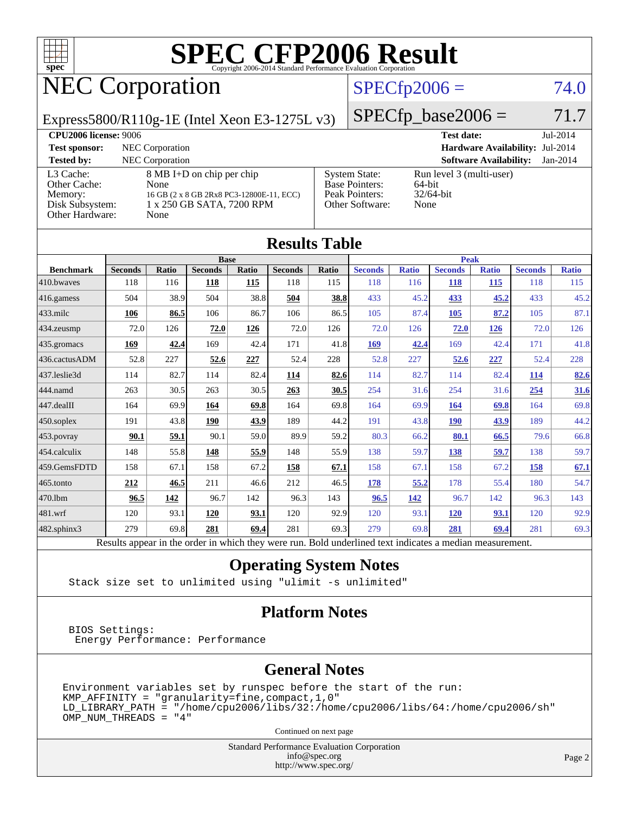

# NEC Corporation

#### $SPECfp2006 = 74.0$  $SPECfp2006 = 74.0$

Express5800/R110g-1E (Intel Xeon E3-1275L v3)

 $SPECfp\_base2006 = 71.7$ **[CPU2006 license:](http://www.spec.org/auto/cpu2006/Docs/result-fields.html#CPU2006license)** 9006 **[Test date:](http://www.spec.org/auto/cpu2006/Docs/result-fields.html#Testdate)** Jul-2014 **[Test sponsor:](http://www.spec.org/auto/cpu2006/Docs/result-fields.html#Testsponsor)** NEC Corporation **[Hardware Availability:](http://www.spec.org/auto/cpu2006/Docs/result-fields.html#HardwareAvailability)** Jul-2014 **[Tested by:](http://www.spec.org/auto/cpu2006/Docs/result-fields.html#Testedby)** NEC Corporation **[Software Availability:](http://www.spec.org/auto/cpu2006/Docs/result-fields.html#SoftwareAvailability)** Jan-2014

| L3 Cache:<br>Other Cache:<br>Memory:<br>Disk Subsystem:<br>Other Hardware: |                                                                                                          | None<br>None | 8 MB I+D on chip per chip<br>16 GB (2 x 8 GB 2Rx8 PC3-12800E-11, ECC)<br>1 x 250 GB SATA, 7200 RPM |       |                      |       | <b>System State:</b><br><b>Base Pointers:</b><br>Peak Pointers:<br>Other Software: | 64-bit<br>None | Run level 3 (multi-user)<br>32/64-bit |              |                |              |
|----------------------------------------------------------------------------|----------------------------------------------------------------------------------------------------------|--------------|----------------------------------------------------------------------------------------------------|-------|----------------------|-------|------------------------------------------------------------------------------------|----------------|---------------------------------------|--------------|----------------|--------------|
|                                                                            |                                                                                                          |              |                                                                                                    |       | <b>Results Table</b> |       |                                                                                    |                |                                       |              |                |              |
|                                                                            |                                                                                                          |              | <b>Base</b>                                                                                        |       |                      |       | <b>Peak</b>                                                                        |                |                                       |              |                |              |
| <b>Benchmark</b>                                                           | <b>Seconds</b>                                                                                           | Ratio        | <b>Seconds</b>                                                                                     | Ratio | <b>Seconds</b>       | Ratio | <b>Seconds</b>                                                                     | <b>Ratio</b>   | <b>Seconds</b>                        | <b>Ratio</b> | <b>Seconds</b> | <b>Ratio</b> |
| 410.bwayes                                                                 | 118                                                                                                      | 116          | 118                                                                                                | 115   | 118                  | 115   | 118                                                                                | 116            | 118                                   | 115          | 118            | 115          |
| 416.gamess                                                                 | 504                                                                                                      | 38.9         | 504                                                                                                | 38.8  | 504                  | 38.8  | 433                                                                                | 45.2           | 433                                   | 45.2         | 433            | 45.2         |
| $433$ .milc                                                                | 106                                                                                                      | 86.5         | 106                                                                                                | 86.7  | 106                  | 86.5  | 105                                                                                | 87.4           | 105                                   | 87.2         | 105            | 87.1         |
| 434.zeusmp                                                                 | 72.0                                                                                                     | 126          | 72.0                                                                                               | 126   | 72.0                 | 126   | 72.0                                                                               | 126            | 72.0                                  | 126          | 72.0           | 126          |
| 435.gromacs                                                                | 169                                                                                                      | 42.4         | 169                                                                                                | 42.4  | 171                  | 41.8  | 169                                                                                | 42.4           | 169                                   | 42.4         | 171            | 41.8         |
| 436.cactusADM                                                              | 52.8                                                                                                     | 227          | 52.6                                                                                               | 227   | 52.4                 | 228   | 52.8                                                                               | 227            | 52.6                                  | 227          | 52.4           | 228          |
| 437.leslie3d                                                               | 114                                                                                                      | 82.7         | 114                                                                                                | 82.4  | 114                  | 82.6  | 114                                                                                | 82.7           | 114                                   | 82.4         | 114            | 82.6         |
| 444.namd                                                                   | 263                                                                                                      | 30.5         | 263                                                                                                | 30.5  | 263                  | 30.5  | 254                                                                                | 31.6           | 254                                   | 31.6         | 254            | 31.6         |
| 447.dealII                                                                 | 164                                                                                                      | 69.9         | 164                                                                                                | 69.8  | 164                  | 69.8  | 164                                                                                | 69.9           | 164                                   | 69.8         | 164            | 69.8         |
| $450$ .soplex                                                              | 191                                                                                                      | 43.8         | 190                                                                                                | 43.9  | 189                  | 44.2  | 191                                                                                | 43.8           | <b>190</b>                            | 43.9         | 189            | 44.2         |
| 453.povray                                                                 | 90.1                                                                                                     | 59.1         | 90.1                                                                                               | 59.0  | 89.9                 | 59.2  | 80.3                                                                               | 66.2           | 80.1                                  | 66.5         | 79.6           | 66.8         |
| 454.calculix                                                               | 148                                                                                                      | 55.8         | 148                                                                                                | 55.9  | 148                  | 55.9  | 138                                                                                | 59.7           | 138                                   | 59.7         | 138            | 59.7         |
| 459.GemsFDTD                                                               | 158                                                                                                      | 67.1         | 158                                                                                                | 67.2  | 158                  | 67.1  | 158                                                                                | 67.1           | 158                                   | 67.2         | 158            | 67.1         |
| 465.tonto                                                                  | 212                                                                                                      | 46.5         | 211                                                                                                | 46.6  | 212                  | 46.5  | 178                                                                                | 55.2           | 178                                   | 55.4         | 180            | 54.7         |
| 470.1bm                                                                    | 96.5                                                                                                     | 142          | 96.7                                                                                               | 142   | 96.3                 | 143   | 96.5                                                                               | 142            | 96.7                                  | 142          | 96.3           | 143          |
| 481.wrf                                                                    | 120                                                                                                      | 93.1         | 120                                                                                                | 93.1  | 120                  | 92.9  | 120                                                                                | 93.1           | <b>120</b>                            | 93.1         | 120            | 92.9         |
| 482.sphinx3                                                                | 279                                                                                                      | 69.8         | 281                                                                                                | 69.4  | 281                  | 69.3  | 279                                                                                | 69.8           | 281                                   | 69.4         | 281            | 69.3         |
|                                                                            | Results appear in the order in which they were run. Bold underlined text indicates a median measurement. |              |                                                                                                    |       |                      |       |                                                                                    |                |                                       |              |                |              |

#### **[Operating System Notes](http://www.spec.org/auto/cpu2006/Docs/result-fields.html#OperatingSystemNotes)**

Stack size set to unlimited using "ulimit -s unlimited"

#### **[Platform Notes](http://www.spec.org/auto/cpu2006/Docs/result-fields.html#PlatformNotes)**

 BIOS Settings: Energy Performance: Performance

#### **[General Notes](http://www.spec.org/auto/cpu2006/Docs/result-fields.html#GeneralNotes)**

Environment variables set by runspec before the start of the run: KMP\_AFFINITY = "granularity=fine,compact,1,0"  $LD$ \_LIBRARY\_PATH = "/home/cpu2006/libs/32:/home/cpu2006/libs/64:/home/cpu2006/sh" OMP\_NUM\_THREADS = "4"

Continued on next page

Standard Performance Evaluation Corporation [info@spec.org](mailto:info@spec.org) <http://www.spec.org/>

Page 2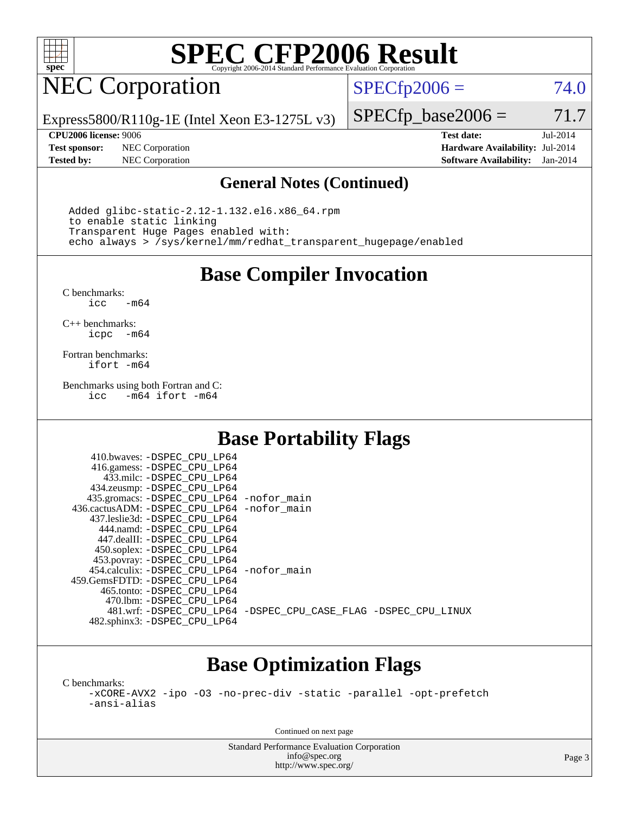

## NEC Corporation

 $SPECTp2006 = 74.0$ 

Express5800/R110g-1E (Intel Xeon E3-1275L v3)

**[Test sponsor:](http://www.spec.org/auto/cpu2006/Docs/result-fields.html#Testsponsor)** NEC Corporation **[Hardware Availability:](http://www.spec.org/auto/cpu2006/Docs/result-fields.html#HardwareAvailability)** Jul-2014

 $SPECTp\_base2006 = 71.7$ **[CPU2006 license:](http://www.spec.org/auto/cpu2006/Docs/result-fields.html#CPU2006license)** 9006 **[Test date:](http://www.spec.org/auto/cpu2006/Docs/result-fields.html#Testdate)** Jul-2014

**[Tested by:](http://www.spec.org/auto/cpu2006/Docs/result-fields.html#Testedby)** NEC Corporation **[Software Availability:](http://www.spec.org/auto/cpu2006/Docs/result-fields.html#SoftwareAvailability)** Jan-2014

#### **[General Notes \(Continued\)](http://www.spec.org/auto/cpu2006/Docs/result-fields.html#GeneralNotes)**

 Added glibc-static-2.12-1.132.el6.x86\_64.rpm to enable static linking Transparent Huge Pages enabled with: echo always > /sys/kernel/mm/redhat\_transparent\_hugepage/enabled

**[Base Compiler Invocation](http://www.spec.org/auto/cpu2006/Docs/result-fields.html#BaseCompilerInvocation)**

[C benchmarks](http://www.spec.org/auto/cpu2006/Docs/result-fields.html#Cbenchmarks):  $-m64$ 

[C++ benchmarks:](http://www.spec.org/auto/cpu2006/Docs/result-fields.html#CXXbenchmarks) [icpc -m64](http://www.spec.org/cpu2006/results/res2014q3/cpu2006-20140805-30773.flags.html#user_CXXbase_intel_icpc_64bit_bedb90c1146cab66620883ef4f41a67e)

[Fortran benchmarks](http://www.spec.org/auto/cpu2006/Docs/result-fields.html#Fortranbenchmarks): [ifort -m64](http://www.spec.org/cpu2006/results/res2014q3/cpu2006-20140805-30773.flags.html#user_FCbase_intel_ifort_64bit_ee9d0fb25645d0210d97eb0527dcc06e)

[Benchmarks using both Fortran and C](http://www.spec.org/auto/cpu2006/Docs/result-fields.html#BenchmarksusingbothFortranandC): [icc -m64](http://www.spec.org/cpu2006/results/res2014q3/cpu2006-20140805-30773.flags.html#user_CC_FCbase_intel_icc_64bit_0b7121f5ab7cfabee23d88897260401c) [ifort -m64](http://www.spec.org/cpu2006/results/res2014q3/cpu2006-20140805-30773.flags.html#user_CC_FCbase_intel_ifort_64bit_ee9d0fb25645d0210d97eb0527dcc06e)

#### **[Base Portability Flags](http://www.spec.org/auto/cpu2006/Docs/result-fields.html#BasePortabilityFlags)**

| 410.bwaves: -DSPEC CPU LP64                |                                                                |
|--------------------------------------------|----------------------------------------------------------------|
| 416.gamess: -DSPEC_CPU_LP64                |                                                                |
| 433.milc: -DSPEC CPU LP64                  |                                                                |
| 434.zeusmp: -DSPEC_CPU_LP64                |                                                                |
| 435.gromacs: -DSPEC_CPU_LP64 -nofor_main   |                                                                |
| 436.cactusADM: -DSPEC CPU LP64 -nofor main |                                                                |
| 437.leslie3d: -DSPEC CPU LP64              |                                                                |
| 444.namd: - DSPEC_CPU LP64                 |                                                                |
| 447.dealII: -DSPEC CPU LP64                |                                                                |
| 450.soplex: -DSPEC_CPU_LP64                |                                                                |
| 453.povray: -DSPEC_CPU_LP64                |                                                                |
| 454.calculix: -DSPEC_CPU_LP64 -nofor_main  |                                                                |
| 459. GemsFDTD: - DSPEC CPU LP64            |                                                                |
| 465.tonto: - DSPEC CPU LP64                |                                                                |
| 470.1bm: - DSPEC CPU LP64                  |                                                                |
|                                            | 481.wrf: -DSPEC CPU_LP64 -DSPEC_CPU_CASE_FLAG -DSPEC_CPU_LINUX |
| 482.sphinx3: -DSPEC_CPU_LP64               |                                                                |

### **[Base Optimization Flags](http://www.spec.org/auto/cpu2006/Docs/result-fields.html#BaseOptimizationFlags)**

[C benchmarks](http://www.spec.org/auto/cpu2006/Docs/result-fields.html#Cbenchmarks):

[-xCORE-AVX2](http://www.spec.org/cpu2006/results/res2014q3/cpu2006-20140805-30773.flags.html#user_CCbase_f-xAVX2_5f5fc0cbe2c9f62c816d3e45806c70d7) [-ipo](http://www.spec.org/cpu2006/results/res2014q3/cpu2006-20140805-30773.flags.html#user_CCbase_f-ipo) [-O3](http://www.spec.org/cpu2006/results/res2014q3/cpu2006-20140805-30773.flags.html#user_CCbase_f-O3) [-no-prec-div](http://www.spec.org/cpu2006/results/res2014q3/cpu2006-20140805-30773.flags.html#user_CCbase_f-no-prec-div) [-static](http://www.spec.org/cpu2006/results/res2014q3/cpu2006-20140805-30773.flags.html#user_CCbase_f-static) [-parallel](http://www.spec.org/cpu2006/results/res2014q3/cpu2006-20140805-30773.flags.html#user_CCbase_f-parallel) [-opt-prefetch](http://www.spec.org/cpu2006/results/res2014q3/cpu2006-20140805-30773.flags.html#user_CCbase_f-opt-prefetch) [-ansi-alias](http://www.spec.org/cpu2006/results/res2014q3/cpu2006-20140805-30773.flags.html#user_CCbase_f-ansi-alias)

Continued on next page

Standard Performance Evaluation Corporation [info@spec.org](mailto:info@spec.org) <http://www.spec.org/>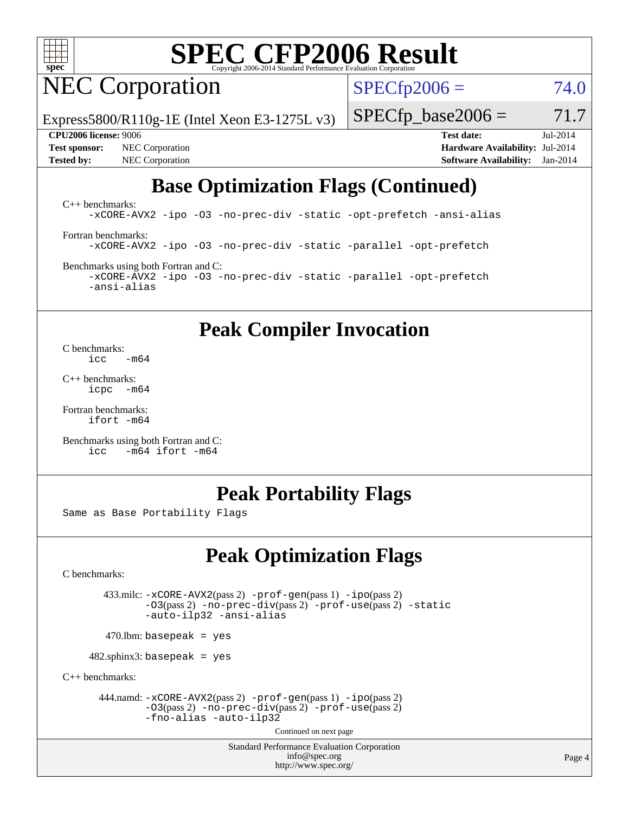

NEC Corporation

 $SPECfp2006 = 74.0$  $SPECfp2006 = 74.0$ 

Express5800/R110g-1E (Intel Xeon E3-1275L v3)

**[Test sponsor:](http://www.spec.org/auto/cpu2006/Docs/result-fields.html#Testsponsor)** NEC Corporation **[Hardware Availability:](http://www.spec.org/auto/cpu2006/Docs/result-fields.html#HardwareAvailability)** Jul-2014 **[Tested by:](http://www.spec.org/auto/cpu2006/Docs/result-fields.html#Testedby)** NEC Corporation **[Software Availability:](http://www.spec.org/auto/cpu2006/Docs/result-fields.html#SoftwareAvailability)** Jan-2014

**[CPU2006 license:](http://www.spec.org/auto/cpu2006/Docs/result-fields.html#CPU2006license)** 9006 **[Test date:](http://www.spec.org/auto/cpu2006/Docs/result-fields.html#Testdate)** Jul-2014

 $SPECTp\_base2006 = 71.7$ 

### **[Base Optimization Flags \(Continued\)](http://www.spec.org/auto/cpu2006/Docs/result-fields.html#BaseOptimizationFlags)**

[C++ benchmarks:](http://www.spec.org/auto/cpu2006/Docs/result-fields.html#CXXbenchmarks) [-xCORE-AVX2](http://www.spec.org/cpu2006/results/res2014q3/cpu2006-20140805-30773.flags.html#user_CXXbase_f-xAVX2_5f5fc0cbe2c9f62c816d3e45806c70d7) [-ipo](http://www.spec.org/cpu2006/results/res2014q3/cpu2006-20140805-30773.flags.html#user_CXXbase_f-ipo) [-O3](http://www.spec.org/cpu2006/results/res2014q3/cpu2006-20140805-30773.flags.html#user_CXXbase_f-O3) [-no-prec-div](http://www.spec.org/cpu2006/results/res2014q3/cpu2006-20140805-30773.flags.html#user_CXXbase_f-no-prec-div) [-static](http://www.spec.org/cpu2006/results/res2014q3/cpu2006-20140805-30773.flags.html#user_CXXbase_f-static) [-opt-prefetch](http://www.spec.org/cpu2006/results/res2014q3/cpu2006-20140805-30773.flags.html#user_CXXbase_f-opt-prefetch) [-ansi-alias](http://www.spec.org/cpu2006/results/res2014q3/cpu2006-20140805-30773.flags.html#user_CXXbase_f-ansi-alias)

[Fortran benchmarks](http://www.spec.org/auto/cpu2006/Docs/result-fields.html#Fortranbenchmarks): [-xCORE-AVX2](http://www.spec.org/cpu2006/results/res2014q3/cpu2006-20140805-30773.flags.html#user_FCbase_f-xAVX2_5f5fc0cbe2c9f62c816d3e45806c70d7) [-ipo](http://www.spec.org/cpu2006/results/res2014q3/cpu2006-20140805-30773.flags.html#user_FCbase_f-ipo) [-O3](http://www.spec.org/cpu2006/results/res2014q3/cpu2006-20140805-30773.flags.html#user_FCbase_f-O3) [-no-prec-div](http://www.spec.org/cpu2006/results/res2014q3/cpu2006-20140805-30773.flags.html#user_FCbase_f-no-prec-div) [-static](http://www.spec.org/cpu2006/results/res2014q3/cpu2006-20140805-30773.flags.html#user_FCbase_f-static) [-parallel](http://www.spec.org/cpu2006/results/res2014q3/cpu2006-20140805-30773.flags.html#user_FCbase_f-parallel) [-opt-prefetch](http://www.spec.org/cpu2006/results/res2014q3/cpu2006-20140805-30773.flags.html#user_FCbase_f-opt-prefetch)

[Benchmarks using both Fortran and C](http://www.spec.org/auto/cpu2006/Docs/result-fields.html#BenchmarksusingbothFortranandC): [-xCORE-AVX2](http://www.spec.org/cpu2006/results/res2014q3/cpu2006-20140805-30773.flags.html#user_CC_FCbase_f-xAVX2_5f5fc0cbe2c9f62c816d3e45806c70d7) [-ipo](http://www.spec.org/cpu2006/results/res2014q3/cpu2006-20140805-30773.flags.html#user_CC_FCbase_f-ipo) [-O3](http://www.spec.org/cpu2006/results/res2014q3/cpu2006-20140805-30773.flags.html#user_CC_FCbase_f-O3) [-no-prec-div](http://www.spec.org/cpu2006/results/res2014q3/cpu2006-20140805-30773.flags.html#user_CC_FCbase_f-no-prec-div) [-static](http://www.spec.org/cpu2006/results/res2014q3/cpu2006-20140805-30773.flags.html#user_CC_FCbase_f-static) [-parallel](http://www.spec.org/cpu2006/results/res2014q3/cpu2006-20140805-30773.flags.html#user_CC_FCbase_f-parallel) [-opt-prefetch](http://www.spec.org/cpu2006/results/res2014q3/cpu2006-20140805-30773.flags.html#user_CC_FCbase_f-opt-prefetch) [-ansi-alias](http://www.spec.org/cpu2006/results/res2014q3/cpu2006-20140805-30773.flags.html#user_CC_FCbase_f-ansi-alias)

**[Peak Compiler Invocation](http://www.spec.org/auto/cpu2006/Docs/result-fields.html#PeakCompilerInvocation)**

[C benchmarks](http://www.spec.org/auto/cpu2006/Docs/result-fields.html#Cbenchmarks):<br> $\frac{icc}{c}$  $-m64$ 

[C++ benchmarks:](http://www.spec.org/auto/cpu2006/Docs/result-fields.html#CXXbenchmarks) [icpc -m64](http://www.spec.org/cpu2006/results/res2014q3/cpu2006-20140805-30773.flags.html#user_CXXpeak_intel_icpc_64bit_bedb90c1146cab66620883ef4f41a67e)

[Fortran benchmarks](http://www.spec.org/auto/cpu2006/Docs/result-fields.html#Fortranbenchmarks): [ifort -m64](http://www.spec.org/cpu2006/results/res2014q3/cpu2006-20140805-30773.flags.html#user_FCpeak_intel_ifort_64bit_ee9d0fb25645d0210d97eb0527dcc06e)

[Benchmarks using both Fortran and C](http://www.spec.org/auto/cpu2006/Docs/result-fields.html#BenchmarksusingbothFortranandC): [icc -m64](http://www.spec.org/cpu2006/results/res2014q3/cpu2006-20140805-30773.flags.html#user_CC_FCpeak_intel_icc_64bit_0b7121f5ab7cfabee23d88897260401c) [ifort -m64](http://www.spec.org/cpu2006/results/res2014q3/cpu2006-20140805-30773.flags.html#user_CC_FCpeak_intel_ifort_64bit_ee9d0fb25645d0210d97eb0527dcc06e)

#### **[Peak Portability Flags](http://www.spec.org/auto/cpu2006/Docs/result-fields.html#PeakPortabilityFlags)**

Same as Base Portability Flags

### **[Peak Optimization Flags](http://www.spec.org/auto/cpu2006/Docs/result-fields.html#PeakOptimizationFlags)**

[C benchmarks](http://www.spec.org/auto/cpu2006/Docs/result-fields.html#Cbenchmarks):

 433.milc: [-xCORE-AVX2](http://www.spec.org/cpu2006/results/res2014q3/cpu2006-20140805-30773.flags.html#user_peakPASS2_CFLAGSPASS2_LDFLAGS433_milc_f-xAVX2_5f5fc0cbe2c9f62c816d3e45806c70d7)(pass 2) [-prof-gen](http://www.spec.org/cpu2006/results/res2014q3/cpu2006-20140805-30773.flags.html#user_peakPASS1_CFLAGSPASS1_LDFLAGS433_milc_prof_gen_e43856698f6ca7b7e442dfd80e94a8fc)(pass 1) [-ipo](http://www.spec.org/cpu2006/results/res2014q3/cpu2006-20140805-30773.flags.html#user_peakPASS2_CFLAGSPASS2_LDFLAGS433_milc_f-ipo)(pass 2) [-O3](http://www.spec.org/cpu2006/results/res2014q3/cpu2006-20140805-30773.flags.html#user_peakPASS2_CFLAGSPASS2_LDFLAGS433_milc_f-O3)(pass 2) [-no-prec-div](http://www.spec.org/cpu2006/results/res2014q3/cpu2006-20140805-30773.flags.html#user_peakPASS2_CFLAGSPASS2_LDFLAGS433_milc_f-no-prec-div)(pass 2) [-prof-use](http://www.spec.org/cpu2006/results/res2014q3/cpu2006-20140805-30773.flags.html#user_peakPASS2_CFLAGSPASS2_LDFLAGS433_milc_prof_use_bccf7792157ff70d64e32fe3e1250b55)(pass 2) [-static](http://www.spec.org/cpu2006/results/res2014q3/cpu2006-20140805-30773.flags.html#user_peakOPTIMIZE433_milc_f-static) [-auto-ilp32](http://www.spec.org/cpu2006/results/res2014q3/cpu2006-20140805-30773.flags.html#user_peakCOPTIMIZE433_milc_f-auto-ilp32) [-ansi-alias](http://www.spec.org/cpu2006/results/res2014q3/cpu2006-20140805-30773.flags.html#user_peakCOPTIMIZE433_milc_f-ansi-alias)

 $470.$ lbm: basepeak = yes

 $482$ .sphinx3: basepeak = yes

[C++ benchmarks:](http://www.spec.org/auto/cpu2006/Docs/result-fields.html#CXXbenchmarks)

 444.namd: [-xCORE-AVX2](http://www.spec.org/cpu2006/results/res2014q3/cpu2006-20140805-30773.flags.html#user_peakPASS2_CXXFLAGSPASS2_LDFLAGS444_namd_f-xAVX2_5f5fc0cbe2c9f62c816d3e45806c70d7)(pass 2) [-prof-gen](http://www.spec.org/cpu2006/results/res2014q3/cpu2006-20140805-30773.flags.html#user_peakPASS1_CXXFLAGSPASS1_LDFLAGS444_namd_prof_gen_e43856698f6ca7b7e442dfd80e94a8fc)(pass 1) [-ipo](http://www.spec.org/cpu2006/results/res2014q3/cpu2006-20140805-30773.flags.html#user_peakPASS2_CXXFLAGSPASS2_LDFLAGS444_namd_f-ipo)(pass 2) [-O3](http://www.spec.org/cpu2006/results/res2014q3/cpu2006-20140805-30773.flags.html#user_peakPASS2_CXXFLAGSPASS2_LDFLAGS444_namd_f-O3)(pass 2) [-no-prec-div](http://www.spec.org/cpu2006/results/res2014q3/cpu2006-20140805-30773.flags.html#user_peakPASS2_CXXFLAGSPASS2_LDFLAGS444_namd_f-no-prec-div)(pass 2) [-prof-use](http://www.spec.org/cpu2006/results/res2014q3/cpu2006-20140805-30773.flags.html#user_peakPASS2_CXXFLAGSPASS2_LDFLAGS444_namd_prof_use_bccf7792157ff70d64e32fe3e1250b55)(pass 2) [-fno-alias](http://www.spec.org/cpu2006/results/res2014q3/cpu2006-20140805-30773.flags.html#user_peakCXXOPTIMIZEOPTIMIZE444_namd_f-no-alias_694e77f6c5a51e658e82ccff53a9e63a) [-auto-ilp32](http://www.spec.org/cpu2006/results/res2014q3/cpu2006-20140805-30773.flags.html#user_peakCXXOPTIMIZE444_namd_f-auto-ilp32)

Continued on next page

Standard Performance Evaluation Corporation [info@spec.org](mailto:info@spec.org) <http://www.spec.org/>

Page 4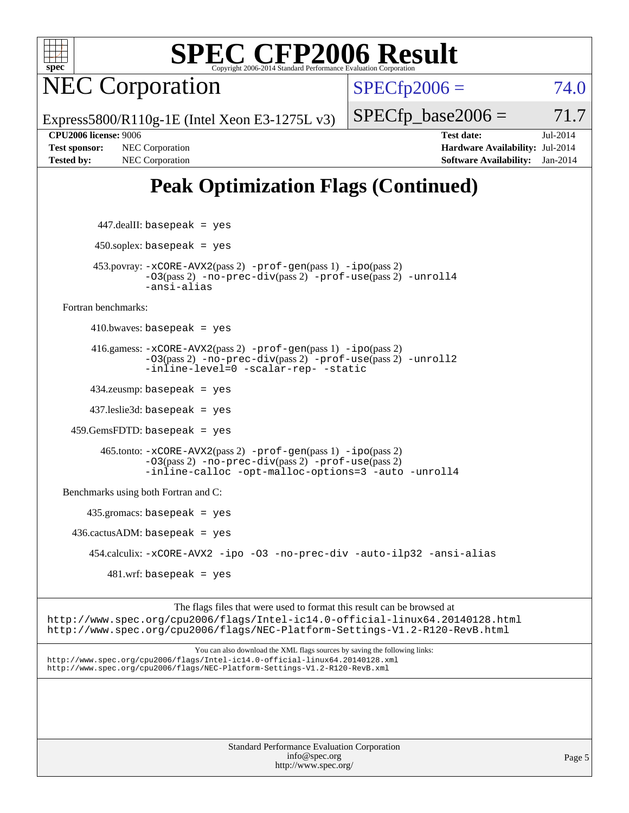

NEC Corporation

 $SPECTp2006 = 74.0$ 

Express5800/R110g-1E (Intel Xeon E3-1275L v3)

 $SPECTp\_base2006 = 71.7$ 

**[CPU2006 license:](http://www.spec.org/auto/cpu2006/Docs/result-fields.html#CPU2006license)** 9006 **[Test date:](http://www.spec.org/auto/cpu2006/Docs/result-fields.html#Testdate)** Jul-2014 **[Test sponsor:](http://www.spec.org/auto/cpu2006/Docs/result-fields.html#Testsponsor)** NEC Corporation **[Hardware Availability:](http://www.spec.org/auto/cpu2006/Docs/result-fields.html#HardwareAvailability)** Jul-2014 **[Tested by:](http://www.spec.org/auto/cpu2006/Docs/result-fields.html#Testedby)** NEC Corporation **[Software Availability:](http://www.spec.org/auto/cpu2006/Docs/result-fields.html#SoftwareAvailability)** Jan-2014

### **[Peak Optimization Flags \(Continued\)](http://www.spec.org/auto/cpu2006/Docs/result-fields.html#PeakOptimizationFlags)**

 447.dealII: basepeak = yes  $450$ .soplex: basepeak = yes 453.povray: [-xCORE-AVX2](http://www.spec.org/cpu2006/results/res2014q3/cpu2006-20140805-30773.flags.html#user_peakPASS2_CXXFLAGSPASS2_LDFLAGS453_povray_f-xAVX2_5f5fc0cbe2c9f62c816d3e45806c70d7)(pass 2) [-prof-gen](http://www.spec.org/cpu2006/results/res2014q3/cpu2006-20140805-30773.flags.html#user_peakPASS1_CXXFLAGSPASS1_LDFLAGS453_povray_prof_gen_e43856698f6ca7b7e442dfd80e94a8fc)(pass 1) [-ipo](http://www.spec.org/cpu2006/results/res2014q3/cpu2006-20140805-30773.flags.html#user_peakPASS2_CXXFLAGSPASS2_LDFLAGS453_povray_f-ipo)(pass 2) [-O3](http://www.spec.org/cpu2006/results/res2014q3/cpu2006-20140805-30773.flags.html#user_peakPASS2_CXXFLAGSPASS2_LDFLAGS453_povray_f-O3)(pass 2) [-no-prec-div](http://www.spec.org/cpu2006/results/res2014q3/cpu2006-20140805-30773.flags.html#user_peakPASS2_CXXFLAGSPASS2_LDFLAGS453_povray_f-no-prec-div)(pass 2) [-prof-use](http://www.spec.org/cpu2006/results/res2014q3/cpu2006-20140805-30773.flags.html#user_peakPASS2_CXXFLAGSPASS2_LDFLAGS453_povray_prof_use_bccf7792157ff70d64e32fe3e1250b55)(pass 2) [-unroll4](http://www.spec.org/cpu2006/results/res2014q3/cpu2006-20140805-30773.flags.html#user_peakCXXOPTIMIZE453_povray_f-unroll_4e5e4ed65b7fd20bdcd365bec371b81f) [-ansi-alias](http://www.spec.org/cpu2006/results/res2014q3/cpu2006-20140805-30773.flags.html#user_peakCXXOPTIMIZE453_povray_f-ansi-alias) [Fortran benchmarks](http://www.spec.org/auto/cpu2006/Docs/result-fields.html#Fortranbenchmarks):  $410.bwaves: basepeak = yes$  416.gamess: [-xCORE-AVX2](http://www.spec.org/cpu2006/results/res2014q3/cpu2006-20140805-30773.flags.html#user_peakPASS2_FFLAGSPASS2_LDFLAGS416_gamess_f-xAVX2_5f5fc0cbe2c9f62c816d3e45806c70d7)(pass 2) [-prof-gen](http://www.spec.org/cpu2006/results/res2014q3/cpu2006-20140805-30773.flags.html#user_peakPASS1_FFLAGSPASS1_LDFLAGS416_gamess_prof_gen_e43856698f6ca7b7e442dfd80e94a8fc)(pass 1) [-ipo](http://www.spec.org/cpu2006/results/res2014q3/cpu2006-20140805-30773.flags.html#user_peakPASS2_FFLAGSPASS2_LDFLAGS416_gamess_f-ipo)(pass 2) [-O3](http://www.spec.org/cpu2006/results/res2014q3/cpu2006-20140805-30773.flags.html#user_peakPASS2_FFLAGSPASS2_LDFLAGS416_gamess_f-O3)(pass 2) [-no-prec-div](http://www.spec.org/cpu2006/results/res2014q3/cpu2006-20140805-30773.flags.html#user_peakPASS2_FFLAGSPASS2_LDFLAGS416_gamess_f-no-prec-div)(pass 2) [-prof-use](http://www.spec.org/cpu2006/results/res2014q3/cpu2006-20140805-30773.flags.html#user_peakPASS2_FFLAGSPASS2_LDFLAGS416_gamess_prof_use_bccf7792157ff70d64e32fe3e1250b55)(pass 2) [-unroll2](http://www.spec.org/cpu2006/results/res2014q3/cpu2006-20140805-30773.flags.html#user_peakOPTIMIZE416_gamess_f-unroll_784dae83bebfb236979b41d2422d7ec2) [-inline-level=0](http://www.spec.org/cpu2006/results/res2014q3/cpu2006-20140805-30773.flags.html#user_peakOPTIMIZE416_gamess_f-inline-level_318d07a09274ad25e8d15dbfaa68ba50) [-scalar-rep-](http://www.spec.org/cpu2006/results/res2014q3/cpu2006-20140805-30773.flags.html#user_peakOPTIMIZE416_gamess_f-disablescalarrep_abbcad04450fb118e4809c81d83c8a1d) [-static](http://www.spec.org/cpu2006/results/res2014q3/cpu2006-20140805-30773.flags.html#user_peakOPTIMIZE416_gamess_f-static) 434.zeusmp: basepeak = yes 437.leslie3d: basepeak = yes 459.GemsFDTD: basepeak = yes 465.tonto: [-xCORE-AVX2](http://www.spec.org/cpu2006/results/res2014q3/cpu2006-20140805-30773.flags.html#user_peakPASS2_FFLAGSPASS2_LDFLAGS465_tonto_f-xAVX2_5f5fc0cbe2c9f62c816d3e45806c70d7)(pass 2) [-prof-gen](http://www.spec.org/cpu2006/results/res2014q3/cpu2006-20140805-30773.flags.html#user_peakPASS1_FFLAGSPASS1_LDFLAGS465_tonto_prof_gen_e43856698f6ca7b7e442dfd80e94a8fc)(pass 1) [-ipo](http://www.spec.org/cpu2006/results/res2014q3/cpu2006-20140805-30773.flags.html#user_peakPASS2_FFLAGSPASS2_LDFLAGS465_tonto_f-ipo)(pass 2) [-O3](http://www.spec.org/cpu2006/results/res2014q3/cpu2006-20140805-30773.flags.html#user_peakPASS2_FFLAGSPASS2_LDFLAGS465_tonto_f-O3)(pass 2) [-no-prec-div](http://www.spec.org/cpu2006/results/res2014q3/cpu2006-20140805-30773.flags.html#user_peakPASS2_FFLAGSPASS2_LDFLAGS465_tonto_f-no-prec-div)(pass 2) [-prof-use](http://www.spec.org/cpu2006/results/res2014q3/cpu2006-20140805-30773.flags.html#user_peakPASS2_FFLAGSPASS2_LDFLAGS465_tonto_prof_use_bccf7792157ff70d64e32fe3e1250b55)(pass 2) [-inline-calloc](http://www.spec.org/cpu2006/results/res2014q3/cpu2006-20140805-30773.flags.html#user_peakOPTIMIZE465_tonto_f-inline-calloc) [-opt-malloc-options=3](http://www.spec.org/cpu2006/results/res2014q3/cpu2006-20140805-30773.flags.html#user_peakOPTIMIZE465_tonto_f-opt-malloc-options_13ab9b803cf986b4ee62f0a5998c2238) [-auto](http://www.spec.org/cpu2006/results/res2014q3/cpu2006-20140805-30773.flags.html#user_peakOPTIMIZE465_tonto_f-auto) [-unroll4](http://www.spec.org/cpu2006/results/res2014q3/cpu2006-20140805-30773.flags.html#user_peakOPTIMIZE465_tonto_f-unroll_4e5e4ed65b7fd20bdcd365bec371b81f) [Benchmarks using both Fortran and C](http://www.spec.org/auto/cpu2006/Docs/result-fields.html#BenchmarksusingbothFortranandC): 435.gromacs: basepeak = yes  $436.cactusADM: basepeak = yes$  454.calculix: [-xCORE-AVX2](http://www.spec.org/cpu2006/results/res2014q3/cpu2006-20140805-30773.flags.html#user_peakOPTIMIZE454_calculix_f-xAVX2_5f5fc0cbe2c9f62c816d3e45806c70d7) [-ipo](http://www.spec.org/cpu2006/results/res2014q3/cpu2006-20140805-30773.flags.html#user_peakOPTIMIZE454_calculix_f-ipo) [-O3](http://www.spec.org/cpu2006/results/res2014q3/cpu2006-20140805-30773.flags.html#user_peakOPTIMIZE454_calculix_f-O3) [-no-prec-div](http://www.spec.org/cpu2006/results/res2014q3/cpu2006-20140805-30773.flags.html#user_peakOPTIMIZE454_calculix_f-no-prec-div) [-auto-ilp32](http://www.spec.org/cpu2006/results/res2014q3/cpu2006-20140805-30773.flags.html#user_peakCOPTIMIZE454_calculix_f-auto-ilp32) [-ansi-alias](http://www.spec.org/cpu2006/results/res2014q3/cpu2006-20140805-30773.flags.html#user_peakCOPTIMIZE454_calculix_f-ansi-alias)  $481 \text{.m}$ : basepeak = yes

The flags files that were used to format this result can be browsed at <http://www.spec.org/cpu2006/flags/Intel-ic14.0-official-linux64.20140128.html> <http://www.spec.org/cpu2006/flags/NEC-Platform-Settings-V1.2-R120-RevB.html>

You can also download the XML flags sources by saving the following links: <http://www.spec.org/cpu2006/flags/Intel-ic14.0-official-linux64.20140128.xml> <http://www.spec.org/cpu2006/flags/NEC-Platform-Settings-V1.2-R120-RevB.xml>

> Standard Performance Evaluation Corporation [info@spec.org](mailto:info@spec.org) <http://www.spec.org/>